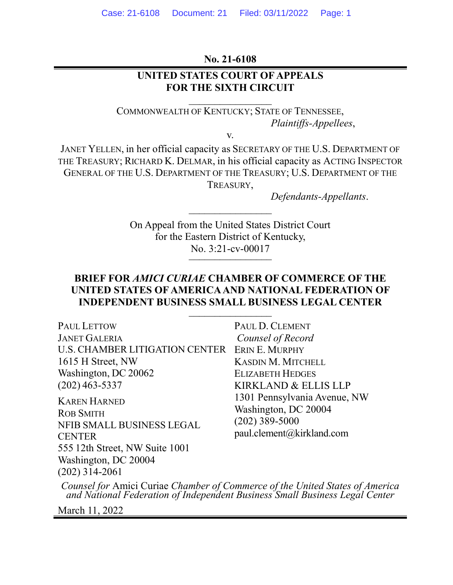### **No. 21-6108**

## **UNITED STATES COURT OF APPEALS FOR THE SIXTH CIRCUIT**

 $\overline{\phantom{a}}$ 

COMMONWEALTH OF KENTUCKY; STATE OF TENNESSEE, *Plaintiffs-Appellees*,

v.

JANET YELLEN, in her official capacity as SECRETARY OF THE U.S. DEPARTMENT OF THE TREASURY; RICHARD K. DELMAR, in his official capacity as ACTING INSPECTOR GENERAL OF THE U.S. DEPARTMENT OF THE TREASURY; U.S. DEPARTMENT OF THE TREASURY,

*Defendants-Appellants*.

On Appeal from the United States District Court for the Eastern District of Kentucky, No. 3:21-cv-00017

 $\overline{\phantom{a}}$ 

## **BRIEF FOR** *AMICI CURIAE* **CHAMBER OF COMMERCE OF THE UNITED STATES OF AMERICA AND NATIONAL FEDERATION OF INDEPENDENT BUSINESS SMALL BUSINESS LEGAL CENTER** \_\_\_\_\_\_\_\_\_\_\_\_\_\_\_\_

| <b>PAUL LETTOW</b>                                                                    | PAUL D. CLEMENT                                                                                       |
|---------------------------------------------------------------------------------------|-------------------------------------------------------------------------------------------------------|
| <b>JANET GALERIA</b>                                                                  | Counsel of Record                                                                                     |
| U.S. CHAMBER LITIGATION CENTER                                                        | ERIN E. MURPHY                                                                                        |
| 1615 H Street, NW                                                                     | <b>KASDIN M. MITCHELL</b>                                                                             |
| Washington, DC 20062                                                                  | <b>ELIZABETH HEDGES</b>                                                                               |
| $(202)$ 463-5337                                                                      | KIRKLAND & ELLIS LLP                                                                                  |
| <b>KAREN HARNED</b><br><b>ROB SMITH</b><br>NFIB SMALL BUSINESS LEGAL<br><b>CENTER</b> | 1301 Pennsylvania Avenue, NW<br>Washington, DC 20004<br>$(202)$ 389-5000<br>paul.clement@kirkland.com |
| 555 12th Street, NW Suite 1001                                                        |                                                                                                       |
| Washington, DC 20004<br>$(202)$ 314-2061                                              |                                                                                                       |
|                                                                                       |                                                                                                       |

*Counsel for* Amici Curiae *Chamber of Commerce of the United States of America and National Federation of Independent Business Small Business Legal Center*

March 11, 2022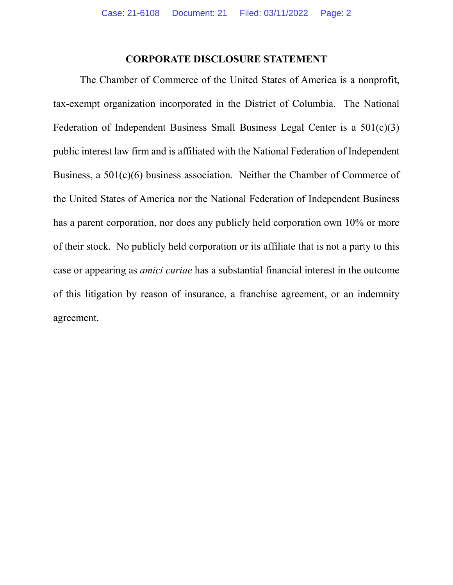## **CORPORATE DISCLOSURE STATEMENT**

<span id="page-1-0"></span>The Chamber of Commerce of the United States of America is a nonprofit, tax-exempt organization incorporated in the District of Columbia. The National Federation of Independent Business Small Business Legal Center is a 501(c)(3) public interest law firm and is affiliated with the National Federation of Independent Business, a 501(c)(6) business association. Neither the Chamber of Commerce of the United States of America nor the National Federation of Independent Business has a parent corporation, nor does any publicly held corporation own 10% or more of their stock. No publicly held corporation or its affiliate that is not a party to this case or appearing as *amici curiae* has a substantial financial interest in the outcome of this litigation by reason of insurance, a franchise agreement, or an indemnity agreement.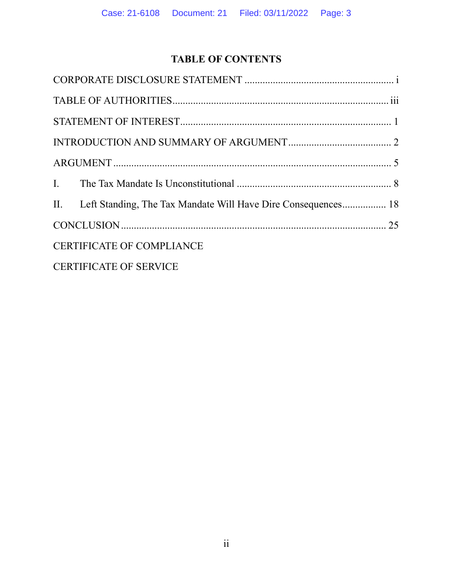# **TABLE OF CONTENTS**

| II. Left Standing, The Tax Mandate Will Have Dire Consequences 18 |  |
|-------------------------------------------------------------------|--|
|                                                                   |  |
| <b>CERTIFICATE OF COMPLIANCE</b>                                  |  |
| <b>CERTIFICATE OF SERVICE</b>                                     |  |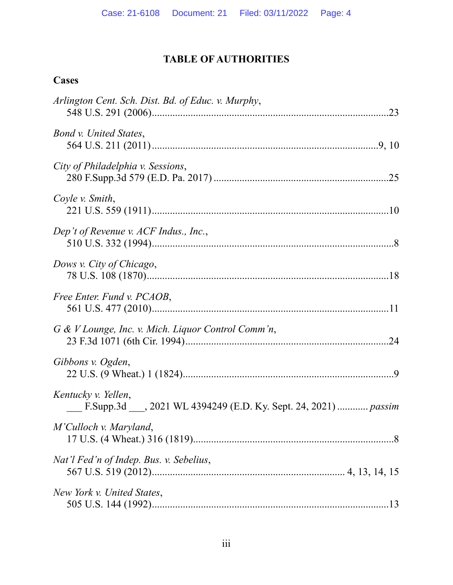# **TABLE OF AUTHORITIES**

# <span id="page-3-0"></span>**Cases**

| Arlington Cent. Sch. Dist. Bd. of Educ. v. Murphy,                                   |
|--------------------------------------------------------------------------------------|
| Bond v. United States,                                                               |
| City of Philadelphia v. Sessions,                                                    |
| Coyle v. Smith,                                                                      |
| Dep't of Revenue v. ACF Indus., Inc.,                                                |
| Dows v. City of Chicago,                                                             |
| Free Enter. Fund v. PCAOB,                                                           |
| G & V Lounge, Inc. v. Mich. Liquor Control Comm'n,                                   |
| Gibbons v. Ogden,                                                                    |
| Kentucky v. Yellen,<br>F.Supp.3d , 2021 WL 4394249 (E.D. Ky. Sept. 24, 2021)  passim |
| M'Culloch v. Maryland,                                                               |
| Nat'l Fed'n of Indep. Bus. v. Sebelius,                                              |
| New York v. United States,                                                           |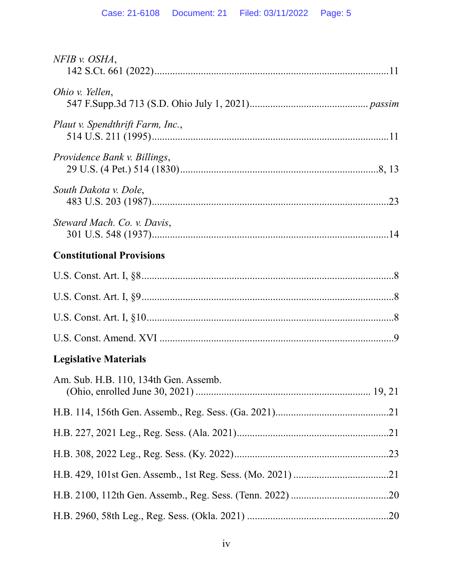| $NFIB$ v. $OSHA$ ,                    |  |
|---------------------------------------|--|
| Ohio v. Yellen,                       |  |
| Plaut v. Spendthrift Farm, Inc.,      |  |
| Providence Bank v. Billings,          |  |
| South Dakota v. Dole,                 |  |
| Steward Mach. Co. v. Davis,           |  |
| <b>Constitutional Provisions</b>      |  |
|                                       |  |
|                                       |  |
|                                       |  |
|                                       |  |
| <b>Legislative Materials</b>          |  |
| Am. Sub. H.B. 110, 134th Gen. Assemb. |  |
|                                       |  |
|                                       |  |
|                                       |  |
|                                       |  |
|                                       |  |
|                                       |  |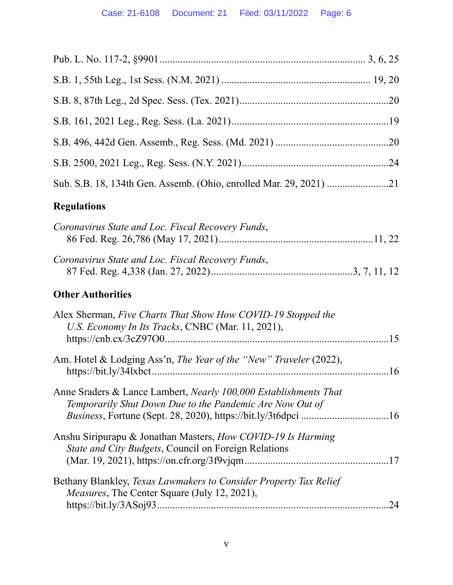| <b>Regulations</b>                                                                                                                  |    |
|-------------------------------------------------------------------------------------------------------------------------------------|----|
| Coronavirus State and Loc. Fiscal Recovery Funds,                                                                                   |    |
| Coronavirus State and Loc. Fiscal Recovery Funds,                                                                                   |    |
| <b>Other Authorities</b>                                                                                                            |    |
| Alex Sherman, Five Charts That Show How COVID-19 Stopped the<br>U.S. Economy In Its Tracks, CNBC (Mar. 11, 2021),                   |    |
| Am. Hotel & Lodging Ass'n, The Year of the "New" Traveler (2022),                                                                   |    |
| Anne Sraders & Lance Lambert, <i>Nearly 100,000 Establishments That</i><br>Temporarily Shut Down Due to the Pandemic Are Now Out of |    |
| Anshu Siripurapu & Jonathan Masters, How COVID-19 Is Harming<br>State and City Budgets, Council on Foreign Relations                |    |
| Bethany Blankley, Texas Lawmakers to Consider Property Tax Relief<br><i>Measures</i> , The Center Square (July 12, 2021),           | 24 |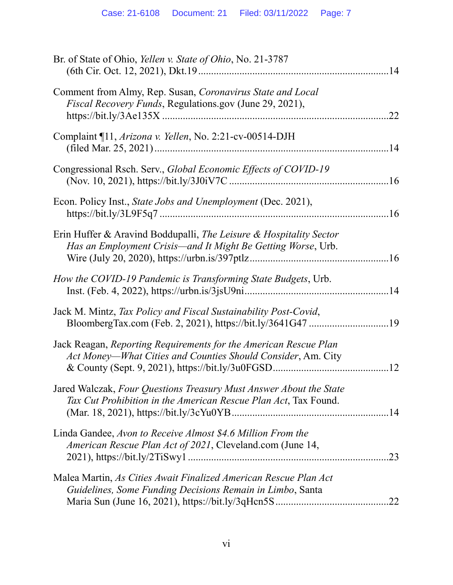| Br. of State of Ohio, Yellen v. State of Ohio, No. 21-3787                                                                            |     |
|---------------------------------------------------------------------------------------------------------------------------------------|-----|
| Comment from Almy, Rep. Susan, Coronavirus State and Local<br><i>Fiscal Recovery Funds</i> , Regulations.gov (June 29, 2021),         | .22 |
| Complaint ¶11, Arizona v. Yellen, No. 2:21-cv-00514-DJH                                                                               |     |
| Congressional Rsch. Serv., Global Economic Effects of COVID-19                                                                        |     |
| Econ. Policy Inst., State Jobs and Unemployment (Dec. 2021),                                                                          |     |
| Erin Huffer & Aravind Boddupalli, The Leisure & Hospitality Sector<br>Has an Employment Crisis-and It Might Be Getting Worse, Urb.    |     |
| How the COVID-19 Pandemic is Transforming State Budgets, Urb.                                                                         |     |
| Jack M. Mintz, Tax Policy and Fiscal Sustainability Post-Covid,                                                                       |     |
| Jack Reagan, Reporting Requirements for the American Rescue Plan<br>Act Money-What Cities and Counties Should Consider, Am. City      |     |
| Jared Walczak, Four Questions Treasury Must Answer About the State<br>Tax Cut Prohibition in the American Rescue Plan Act, Tax Found. |     |
| Linda Gandee, Avon to Receive Almost \$4.6 Million From the<br>American Rescue Plan Act of 2021, Cleveland.com (June 14,              | .23 |
| Malea Martin, As Cities Await Finalized American Rescue Plan Act<br>Guidelines, Some Funding Decisions Remain in Limbo, Santa         |     |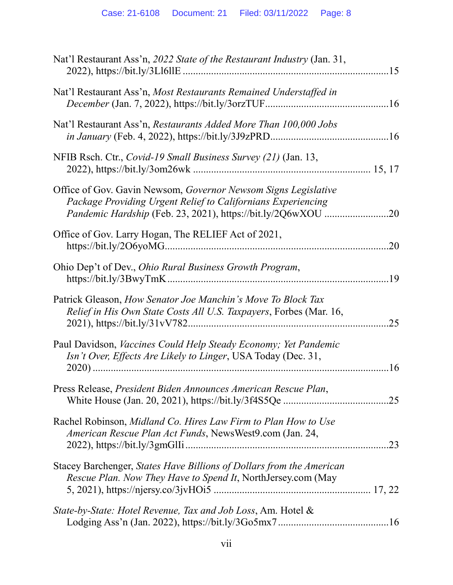| Nat'l Restaurant Ass'n, 2022 State of the Restaurant Industry (Jan. 31,                                                              |     |
|--------------------------------------------------------------------------------------------------------------------------------------|-----|
| Nat'l Restaurant Ass'n, Most Restaurants Remained Understaffed in                                                                    |     |
| Nat'l Restaurant Ass'n, Restaurants Added More Than 100,000 Jobs                                                                     |     |
| NFIB Rsch. Ctr., Covid-19 Small Business Survey (21) (Jan. 13,                                                                       |     |
| Office of Gov. Gavin Newsom, Governor Newsom Signs Legislative<br>Package Providing Urgent Relief to Californians Experiencing       |     |
| Office of Gov. Larry Hogan, The RELIEF Act of 2021,                                                                                  | .20 |
| Ohio Dep't of Dev., Ohio Rural Business Growth Program,                                                                              |     |
| Patrick Gleason, How Senator Joe Manchin's Move To Block Tax<br>Relief in His Own State Costs All U.S. Taxpayers, Forbes (Mar. 16,   | .25 |
| Paul Davidson, Vaccines Could Help Steady Economy; Yet Pandemic<br>Isn't Over, Effects Are Likely to Linger, USA Today (Dec. 31,     | .16 |
| Press Release, President Biden Announces American Rescue Plan,                                                                       |     |
| Rachel Robinson, Midland Co. Hires Law Firm to Plan How to Use<br>American Rescue Plan Act Funds, NewsWest9.com (Jan. 24,            | .23 |
| Stacey Barchenger, States Have Billions of Dollars from the American<br>Rescue Plan. Now They Have to Spend It, NorthJersey.com (May |     |
| State-by-State: Hotel Revenue, Tax and Job Loss, Am. Hotel &                                                                         |     |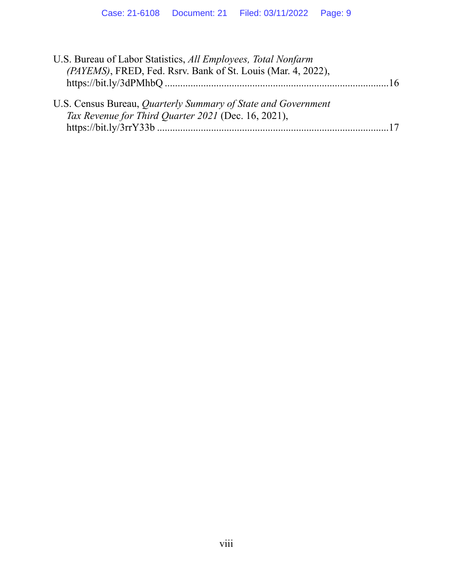| U.S. Bureau of Labor Statistics, All Employees, Total Nonfarm<br>(PAYEMS), FRED, Fed. Rsrv. Bank of St. Louis (Mar. 4, 2022), | . 16 |
|-------------------------------------------------------------------------------------------------------------------------------|------|
| U.S. Census Bureau, Quarterly Summary of State and Government<br>Tax Revenue for Third Quarter 2021 (Dec. 16, 2021),          |      |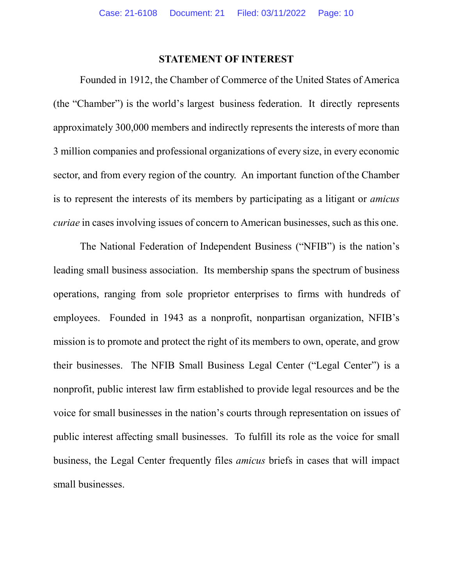## **STATEMENT OF INTEREST**

<span id="page-9-0"></span>Founded in 1912, the Chamber of Commerce of the United States of America (the "Chamber") is the world's largest business federation. It directly represents approximately 300,000 members and indirectly represents the interests of more than 3 million companies and professional organizations of every size, in every economic sector, and from every region of the country. An important function of the Chamber is to represent the interests of its members by participating as a litigant or *amicus curiae* in cases involving issues of concern to American businesses, such as this one.

The National Federation of Independent Business ("NFIB") is the nation's leading small business association. Its membership spans the spectrum of business operations, ranging from sole proprietor enterprises to firms with hundreds of employees. Founded in 1943 as a nonprofit, nonpartisan organization, NFIB's mission is to promote and protect the right of its members to own, operate, and grow their businesses. The NFIB Small Business Legal Center ("Legal Center") is a nonprofit, public interest law firm established to provide legal resources and be the voice for small businesses in the nation's courts through representation on issues of public interest affecting small businesses. To fulfill its role as the voice for small business, the Legal Center frequently files *amicus* briefs in cases that will impact small businesses.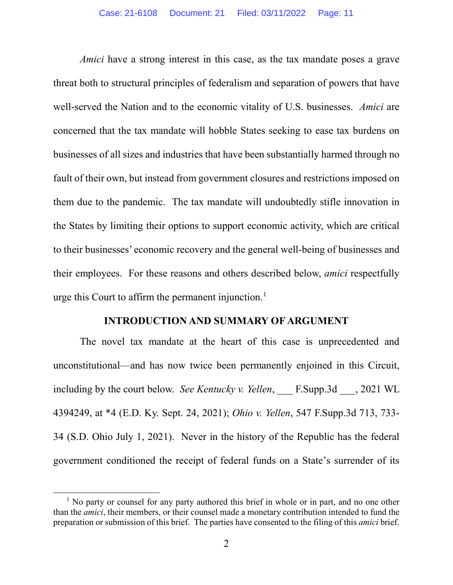*Amici* have a strong interest in this case, as the tax mandate poses a grave threat both to structural principles of federalism and separation of powers that have well-served the Nation and to the economic vitality of U.S. businesses. *Amici* are concerned that the tax mandate will hobble States seeking to ease tax burdens on businesses of all sizes and industries that have been substantially harmed through no fault of their own, but instead from government closures and restrictions imposed on them due to the pandemic. The tax mandate will undoubtedly stifle innovation in the States by limiting their options to support economic activity, which are critical to their businesses' economic recovery and the general well-being of businesses and their employees. For these reasons and others described below, *amici* respectfully urge this Court to affirm the permanent injunction. [1](#page-10-1)

#### **INTRODUCTION AND SUMMARY OF ARGUMENT**

<span id="page-10-0"></span>The novel tax mandate at the heart of this case is unprecedented and unconstitutional—and has now twice been permanently enjoined in this Circuit, including by the court below. *See Kentucky v. Yellen*, \_\_\_ F.Supp.3d \_\_\_, 2021 WL 4394249, at \*4 (E.D. Ky. Sept. 24, 2021); *Ohio v. Yellen*, 547 F.Supp.3d 713, 733- 34 (S.D. Ohio July 1, 2021).Never in the history of the Republic has the federal government conditioned the receipt of federal funds on a State's surrender of its

<span id="page-10-1"></span> $<sup>1</sup>$  No party or counsel for any party authored this brief in whole or in part, and no one other</sup> than the *amici*, their members, or their counsel made a monetary contribution intended to fund the preparation or submission of this brief. The parties have consented to the filing of this *amici* brief.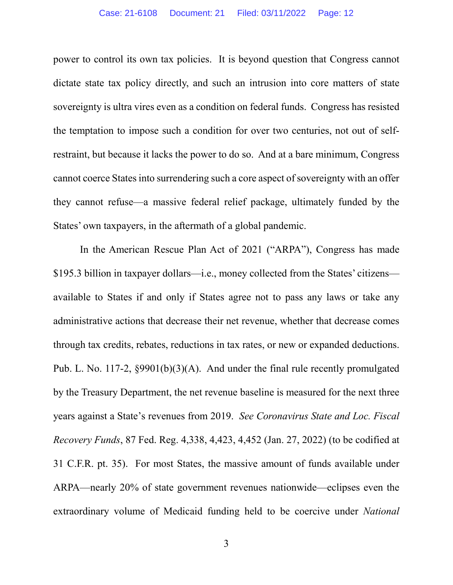power to control its own tax policies. It is beyond question that Congress cannot dictate state tax policy directly, and such an intrusion into core matters of state sovereignty is ultra vires even as a condition on federal funds. Congress has resisted the temptation to impose such a condition for over two centuries, not out of selfrestraint, but because it lacks the power to do so. And at a bare minimum, Congress cannot coerce States into surrendering such a core aspect of sovereignty with an offer they cannot refuse—a massive federal relief package, ultimately funded by the States' own taxpayers, in the aftermath of a global pandemic.

In the American Rescue Plan Act of 2021 ("ARPA"), Congress has made \$195.3 billion in taxpayer dollars—i.e., money collected from the States' citizens available to States if and only if States agree not to pass any laws or take any administrative actions that decrease their net revenue, whether that decrease comes through tax credits, rebates, reductions in tax rates, or new or expanded deductions. Pub. L. No. 117-2, §9901(b)(3)(A). And under the final rule recently promulgated by the Treasury Department, the net revenue baseline is measured for the next three years against a State's revenues from 2019. *See Coronavirus State and Loc. Fiscal Recovery Funds*, 87 Fed. Reg. 4,338, 4,423, 4,452 (Jan. 27, 2022) (to be codified at 31 C.F.R. pt. 35). For most States, the massive amount of funds available under ARPA—nearly 20% of state government revenues nationwide—eclipses even the extraordinary volume of Medicaid funding held to be coercive under *National*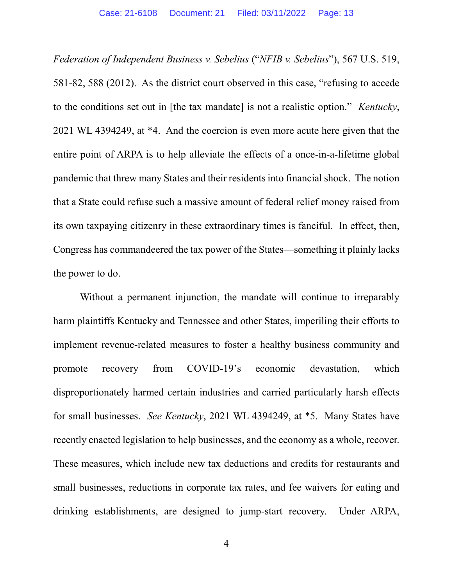*Federation of Independent Business v. Sebelius* ("*NFIB v. Sebelius*"), 567 U.S. 519, 581-82, 588 (2012). As the district court observed in this case, "refusing to accede to the conditions set out in [the tax mandate] is not a realistic option." *Kentucky*, 2021 WL 4394249, at \*4. And the coercion is even more acute here given that the entire point of ARPA is to help alleviate the effects of a once-in-a-lifetime global pandemic that threw many States and their residents into financial shock. The notion that a State could refuse such a massive amount of federal relief money raised from its own taxpaying citizenry in these extraordinary times is fanciful. In effect, then, Congress has commandeered the tax power of the States—something it plainly lacks the power to do.

Without a permanent injunction, the mandate will continue to irreparably harm plaintiffs Kentucky and Tennessee and other States, imperiling their efforts to implement revenue-related measures to foster a healthy business community and promote recovery from COVID-19's economic devastation, which disproportionately harmed certain industries and carried particularly harsh effects for small businesses. *See Kentucky*, 2021 WL 4394249, at \*5. Many States have recently enacted legislation to help businesses, and the economy as a whole, recover. These measures, which include new tax deductions and credits for restaurants and small businesses, reductions in corporate tax rates, and fee waivers for eating and drinking establishments, are designed to jump-start recovery. Under ARPA,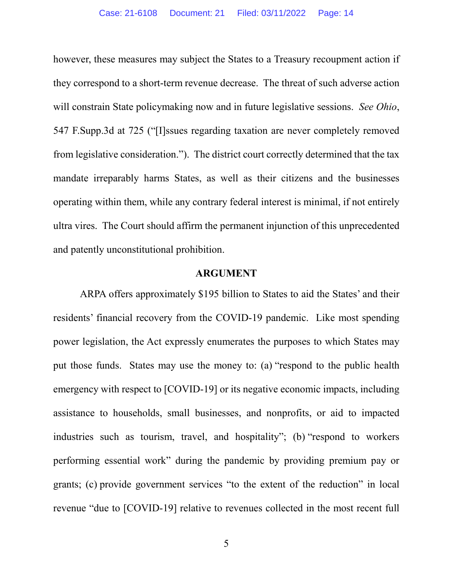however, these measures may subject the States to a Treasury recoupment action if they correspond to a short-term revenue decrease. The threat of such adverse action will constrain State policymaking now and in future legislative sessions. *See Ohio*, 547 F.Supp.3d at 725 ("[I]ssues regarding taxation are never completely removed from legislative consideration."). The district court correctly determined that the tax mandate irreparably harms States, as well as their citizens and the businesses operating within them, while any contrary federal interest is minimal, if not entirely ultra vires. The Court should affirm the permanent injunction of this unprecedented and patently unconstitutional prohibition.

#### **ARGUMENT**

<span id="page-13-0"></span>ARPA offers approximately \$195 billion to States to aid the States' and their residents' financial recovery from the COVID-19 pandemic. Like most spending power legislation, the Act expressly enumerates the purposes to which States may put those funds. States may use the money to: (a) "respond to the public health emergency with respect to [COVID-19] or its negative economic impacts, including assistance to households, small businesses, and nonprofits, or aid to impacted industries such as tourism, travel, and hospitality"; (b) "respond to workers performing essential work" during the pandemic by providing premium pay or grants; (c) provide government services "to the extent of the reduction" in local revenue "due to [COVID-19] relative to revenues collected in the most recent full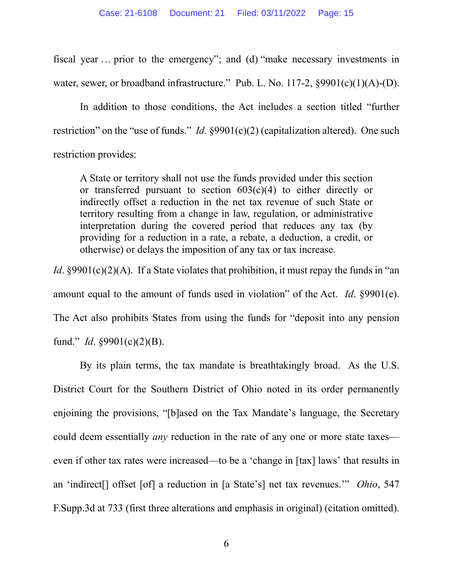fiscal year … prior to the emergency"; and (d) "make necessary investments in water, sewer, or broadband infrastructure." Pub. L. No. 117-2, §9901(c)(1)(A)-(D).

In addition to those conditions, the Act includes a section titled "further restriction" on the "use of funds." *Id.* §9901(c)(2) (capitalization altered). One such restriction provides:

A State or territory shall not use the funds provided under this section or transferred pursuant to section  $603(c)(4)$  to either directly or indirectly offset a reduction in the net tax revenue of such State or territory resulting from a change in law, regulation, or administrative interpretation during the covered period that reduces any tax (by providing for a reduction in a rate, a rebate, a deduction, a credit, or otherwise) or delays the imposition of any tax or tax increase.

*Id.* §9901(c)(2)(A). If a State violates that prohibition, it must repay the funds in "an amount equal to the amount of funds used in violation" of the Act. *Id*. §9901(e). The Act also prohibits States from using the funds for "deposit into any pension fund." *Id*. §9901(c)(2)(B).

By its plain terms, the tax mandate is breathtakingly broad. As the U.S. District Court for the Southern District of Ohio noted in its order permanently enjoining the provisions, "[b]ased on the Tax Mandate's language, the Secretary could deem essentially *any* reduction in the rate of any one or more state taxes even if other tax rates were increased—to be a 'change in [tax] laws' that results in an 'indirect[] offset [of] a reduction in [a State's] net tax revenues.'" *Ohio*, 547 F.Supp.3d at 733 (first three alterations and emphasis in original) (citation omitted).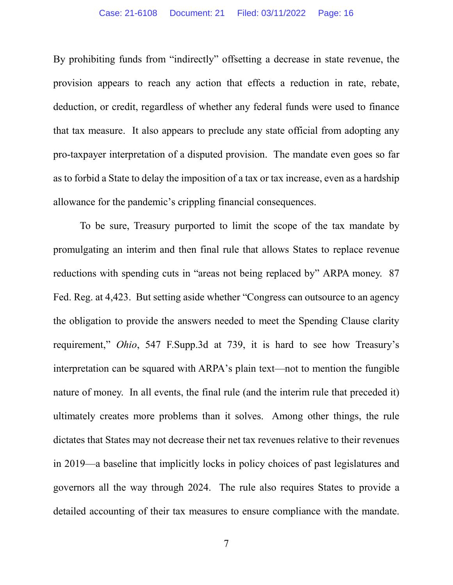By prohibiting funds from "indirectly" offsetting a decrease in state revenue, the provision appears to reach any action that effects a reduction in rate, rebate, deduction, or credit, regardless of whether any federal funds were used to finance that tax measure. It also appears to preclude any state official from adopting any pro-taxpayer interpretation of a disputed provision. The mandate even goes so far as to forbid a State to delay the imposition of a tax or tax increase, even as a hardship allowance for the pandemic's crippling financial consequences.

To be sure, Treasury purported to limit the scope of the tax mandate by promulgating an interim and then final rule that allows States to replace revenue reductions with spending cuts in "areas not being replaced by" ARPA money. 87 Fed. Reg. at 4,423. But setting aside whether "Congress can outsource to an agency the obligation to provide the answers needed to meet the Spending Clause clarity requirement," *Ohio*, 547 F.Supp.3d at 739, it is hard to see how Treasury's interpretation can be squared with ARPA's plain text—not to mention the fungible nature of money. In all events, the final rule (and the interim rule that preceded it) ultimately creates more problems than it solves. Among other things, the rule dictates that States may not decrease their net tax revenues relative to their revenues in 2019—a baseline that implicitly locks in policy choices of past legislatures and governors all the way through 2024. The rule also requires States to provide a detailed accounting of their tax measures to ensure compliance with the mandate.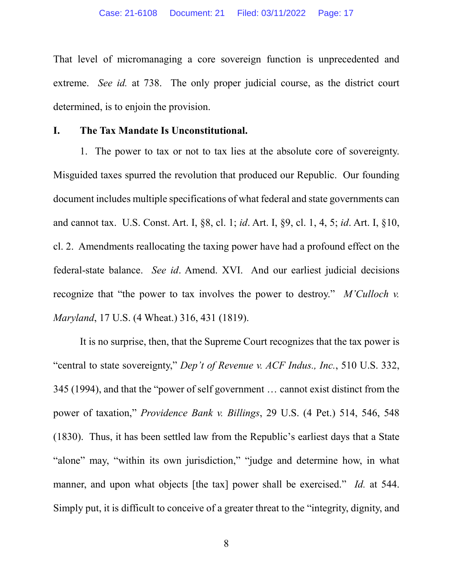That level of micromanaging a core sovereign function is unprecedented and extreme. *See id.* at 738. The only proper judicial course, as the district court determined, is to enjoin the provision.

### <span id="page-16-0"></span>**I. The Tax Mandate Is Unconstitutional.**

1. The power to tax or not to tax lies at the absolute core of sovereignty. Misguided taxes spurred the revolution that produced our Republic. Our founding document includes multiple specifications of what federal and state governments can and cannot tax. U.S. Const. Art. I, §8, cl. 1; *id*. Art. I, §9, cl. 1, 4, 5; *id*. Art. I, §10, cl. 2. Amendments reallocating the taxing power have had a profound effect on the federal-state balance. *See id*. Amend. XVI. And our earliest judicial decisions recognize that "the power to tax involves the power to destroy." *M'Culloch v. Maryland*, 17 U.S. (4 Wheat.) 316, 431 (1819).

It is no surprise, then, that the Supreme Court recognizes that the tax power is "central to state sovereignty," *Dep't of Revenue v. ACF Indus., Inc.*, 510 U.S. 332, 345 (1994), and that the "power of self government … cannot exist distinct from the power of taxation," *Providence Bank v. Billings*, 29 U.S. (4 Pet.) 514, 546, 548 (1830). Thus, it has been settled law from the Republic's earliest days that a State "alone" may, "within its own jurisdiction," "judge and determine how, in what manner, and upon what objects [the tax] power shall be exercised." *Id.* at 544. Simply put, it is difficult to conceive of a greater threat to the "integrity, dignity, and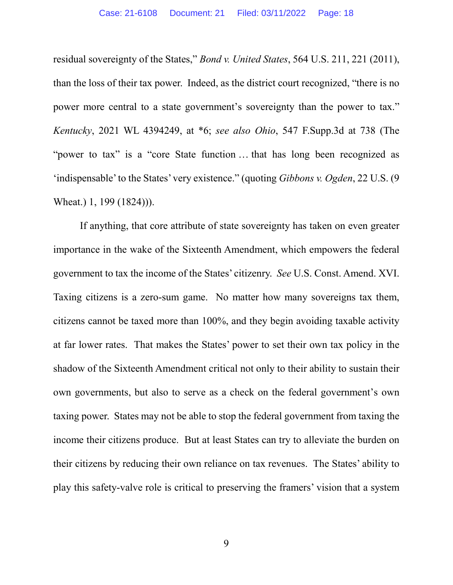residual sovereignty of the States," *Bond v. United States*, 564 U.S. 211, 221 (2011), than the loss of their tax power. Indeed, as the district court recognized, "there is no power more central to a state government's sovereignty than the power to tax." *Kentucky*, 2021 WL 4394249, at \*6; *see also Ohio*, 547 F.Supp.3d at 738 (The "power to tax" is a "core State function ... that has long been recognized as 'indispensable' to the States' very existence." (quoting *Gibbons v. Ogden*, 22 U.S. (9 Wheat.) 1, 199 (1824))).

If anything, that core attribute of state sovereignty has taken on even greater importance in the wake of the Sixteenth Amendment, which empowers the federal government to tax the income of the States' citizenry. *See* U.S. Const. Amend. XVI. Taxing citizens is a zero-sum game. No matter how many sovereigns tax them, citizens cannot be taxed more than 100%, and they begin avoiding taxable activity at far lower rates. That makes the States' power to set their own tax policy in the shadow of the Sixteenth Amendment critical not only to their ability to sustain their own governments, but also to serve as a check on the federal government's own taxing power. States may not be able to stop the federal government from taxing the income their citizens produce. But at least States can try to alleviate the burden on their citizens by reducing their own reliance on tax revenues. The States' ability to play this safety-valve role is critical to preserving the framers' vision that a system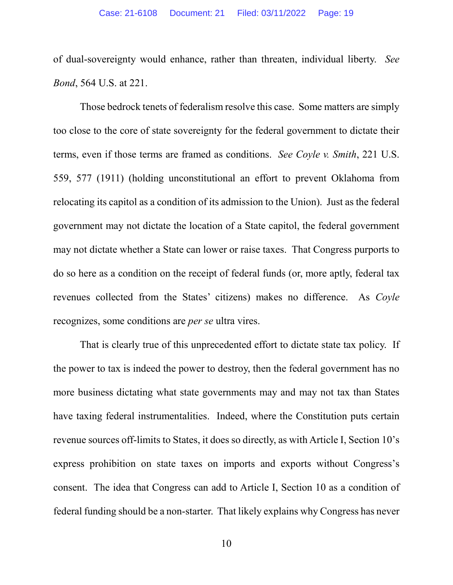of dual-sovereignty would enhance, rather than threaten, individual liberty. *See Bond*, 564 U.S. at 221.

Those bedrock tenets of federalism resolve this case. Some matters are simply too close to the core of state sovereignty for the federal government to dictate their terms, even if those terms are framed as conditions. *See Coyle v. Smith*, 221 U.S. 559, 577 (1911) (holding unconstitutional an effort to prevent Oklahoma from relocating its capitol as a condition of its admission to the Union). Just as the federal government may not dictate the location of a State capitol, the federal government may not dictate whether a State can lower or raise taxes. That Congress purports to do so here as a condition on the receipt of federal funds (or, more aptly, federal tax revenues collected from the States' citizens) makes no difference. As *Coyle* recognizes, some conditions are *per se* ultra vires.

That is clearly true of this unprecedented effort to dictate state tax policy. If the power to tax is indeed the power to destroy, then the federal government has no more business dictating what state governments may and may not tax than States have taxing federal instrumentalities. Indeed, where the Constitution puts certain revenue sources off-limits to States, it does so directly, as with Article I, Section 10's express prohibition on state taxes on imports and exports without Congress's consent. The idea that Congress can add to Article I, Section 10 as a condition of federal funding should be a non-starter. That likely explains why Congress has never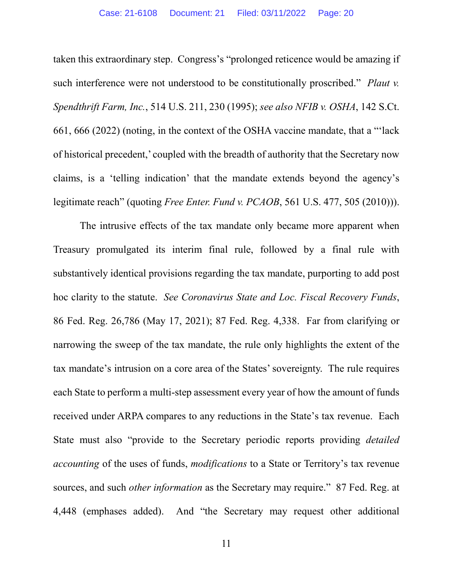taken this extraordinary step. Congress's "prolonged reticence would be amazing if such interference were not understood to be constitutionally proscribed." *Plaut v. Spendthrift Farm, Inc.*, 514 U.S. 211, 230 (1995); *see also NFIB v. OSHA*, 142 S.Ct. 661, 666 (2022) (noting, in the context of the OSHA vaccine mandate, that a "'lack of historical precedent,' coupled with the breadth of authority that the Secretary now claims, is a 'telling indication' that the mandate extends beyond the agency's legitimate reach" (quoting *Free Enter. Fund v. PCAOB*, 561 U.S. 477, 505 (2010))).

The intrusive effects of the tax mandate only became more apparent when Treasury promulgated its interim final rule, followed by a final rule with substantively identical provisions regarding the tax mandate, purporting to add post hoc clarity to the statute. *See Coronavirus State and Loc. Fiscal Recovery Funds*, 86 Fed. Reg. 26,786 (May 17, 2021); 87 Fed. Reg. 4,338. Far from clarifying or narrowing the sweep of the tax mandate, the rule only highlights the extent of the tax mandate's intrusion on a core area of the States' sovereignty. The rule requires each State to perform a multi-step assessment every year of how the amount of funds received under ARPA compares to any reductions in the State's tax revenue. Each State must also "provide to the Secretary periodic reports providing *detailed accounting* of the uses of funds, *modifications* to a State or Territory's tax revenue sources, and such *other information* as the Secretary may require." 87 Fed. Reg. at 4,448 (emphases added). And "the Secretary may request other additional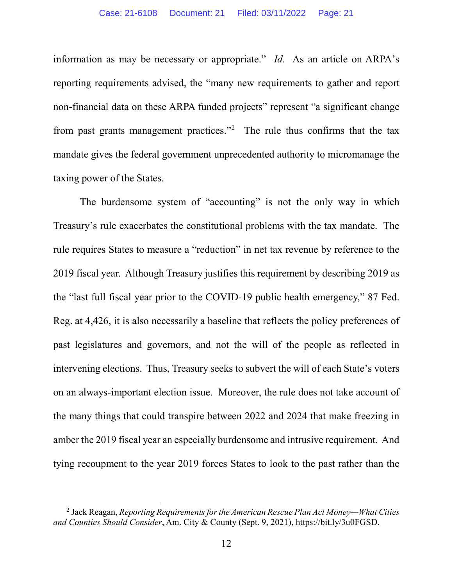information as may be necessary or appropriate." *Id.* As an article on ARPA's reporting requirements advised, the "many new requirements to gather and report non-financial data on these ARPA funded projects" represent "a significant change from past grants management practices."<sup>[2](#page-20-0)</sup> The rule thus confirms that the tax mandate gives the federal government unprecedented authority to micromanage the taxing power of the States.

The burdensome system of "accounting" is not the only way in which Treasury's rule exacerbates the constitutional problems with the tax mandate. The rule requires States to measure a "reduction" in net tax revenue by reference to the 2019 fiscal year. Although Treasury justifies this requirement by describing 2019 as the "last full fiscal year prior to the COVID-19 public health emergency," 87 Fed. Reg. at 4,426, it is also necessarily a baseline that reflects the policy preferences of past legislatures and governors, and not the will of the people as reflected in intervening elections. Thus, Treasury seeks to subvert the will of each State's voters on an always-important election issue. Moreover, the rule does not take account of the many things that could transpire between 2022 and 2024 that make freezing in amber the 2019 fiscal year an especially burdensome and intrusive requirement. And tying recoupment to the year 2019 forces States to look to the past rather than the

<span id="page-20-0"></span><sup>2</sup> Jack Reagan, *Reporting Requirements for the American Rescue Plan Act Money—What Cities and Counties Should Consider*, Am. City & County (Sept. 9, 2021), https://bit.ly/3u0FGSD.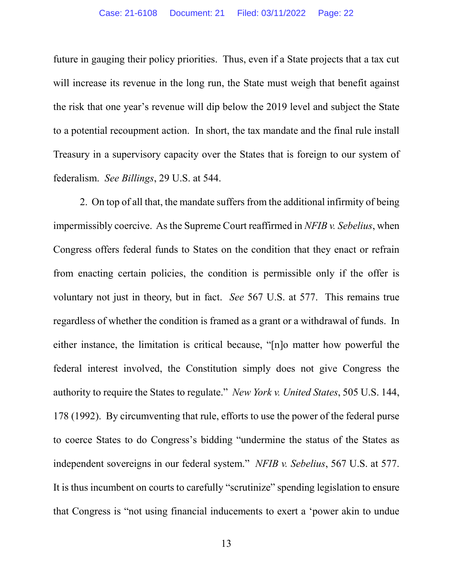future in gauging their policy priorities. Thus, even if a State projects that a tax cut will increase its revenue in the long run, the State must weigh that benefit against the risk that one year's revenue will dip below the 2019 level and subject the State to a potential recoupment action. In short, the tax mandate and the final rule install Treasury in a supervisory capacity over the States that is foreign to our system of federalism. *See Billings*, 29 U.S. at 544.

2. On top of all that, the mandate suffers from the additional infirmity of being impermissibly coercive. As the Supreme Court reaffirmed in *NFIB v. Sebelius*, when Congress offers federal funds to States on the condition that they enact or refrain from enacting certain policies, the condition is permissible only if the offer is voluntary not just in theory, but in fact. *See* 567 U.S. at 577. This remains true regardless of whether the condition is framed as a grant or a withdrawal of funds. In either instance, the limitation is critical because, "[n]o matter how powerful the federal interest involved, the Constitution simply does not give Congress the authority to require the States to regulate." *New York v. United States*, 505 U.S. 144, 178 (1992). By circumventing that rule, efforts to use the power of the federal purse to coerce States to do Congress's bidding "undermine the status of the States as independent sovereigns in our federal system." *NFIB v. Sebelius*, 567 U.S. at 577. It is thus incumbent on courts to carefully "scrutinize" spending legislation to ensure that Congress is "not using financial inducements to exert a 'power akin to undue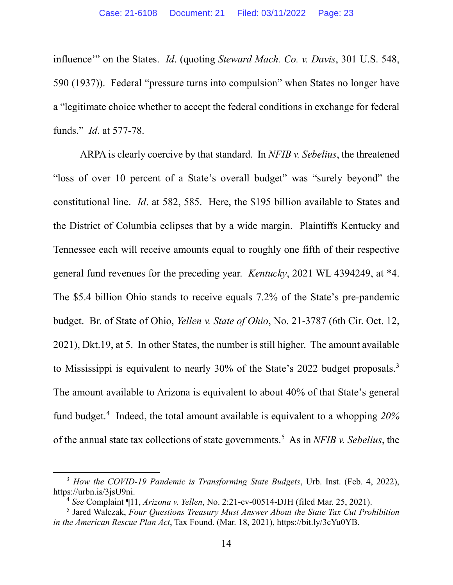influence'" on the States. *Id*. (quoting *Steward Mach. Co. v. Davis*, 301 U.S. 548, 590 (1937)). Federal "pressure turns into compulsion" when States no longer have a "legitimate choice whether to accept the federal conditions in exchange for federal funds." *Id*. at 577-78.

ARPA is clearly coercive by that standard. In *NFIB v. Sebelius*, the threatened "loss of over 10 percent of a State's overall budget" was "surely beyond" the constitutional line. *Id*. at 582, 585. Here, the \$195 billion available to States and the District of Columbia eclipses that by a wide margin. Plaintiffs Kentucky and Tennessee each will receive amounts equal to roughly one fifth of their respective general fund revenues for the preceding year. *Kentucky*, 2021 WL 4394249, at \*4. The \$5.4 billion Ohio stands to receive equals 7.2% of the State's pre-pandemic budget. Br. of State of Ohio, *Yellen v. State of Ohio*, No. 21-3787 (6th Cir. Oct. 12, 2021), Dkt.19, at 5. In other States, the number is still higher. The amount available to Mississippi is equivalent to nearly 30% of the State's 2022 budget proposals. [3](#page-22-0) The amount available to Arizona is equivalent to about 40% of that State's general fund budget.[4](#page-22-1) Indeed, the total amount available is equivalent to a whopping *20%* of the annual state tax collections of state governments.[5](#page-22-2) As in *NFIB v. Sebelius*, the

<span id="page-22-0"></span><sup>3</sup> *How the COVID-19 Pandemic is Transforming State Budgets*, Urb. Inst. (Feb. 4, 2022), https://urbn.is/3jsU9ni.

<sup>4</sup> *See* Complaint ¶11, *Arizona v. Yellen*, No. 2:21-cv-00514-DJH (filed Mar. 25, 2021).

<span id="page-22-2"></span><span id="page-22-1"></span><sup>5</sup> Jared Walczak, *Four Questions Treasury Must Answer About the State Tax Cut Prohibition in the American Rescue Plan Act*, Tax Found. (Mar. 18, 2021), https://bit.ly/3cYu0YB.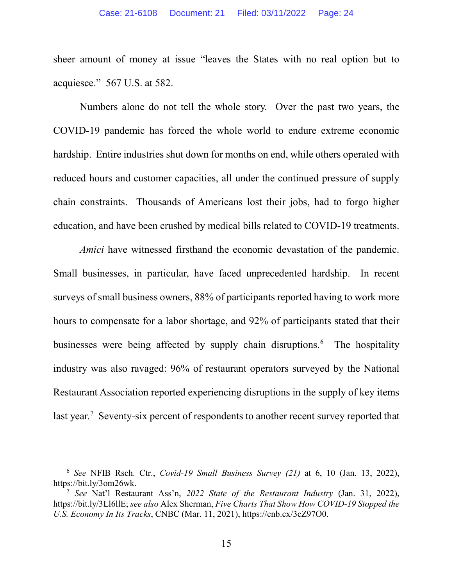sheer amount of money at issue "leaves the States with no real option but to acquiesce." 567 U.S. at 582.

Numbers alone do not tell the whole story. Over the past two years, the COVID-19 pandemic has forced the whole world to endure extreme economic hardship. Entire industries shut down for months on end, while others operated with reduced hours and customer capacities, all under the continued pressure of supply chain constraints. Thousands of Americans lost their jobs, had to forgo higher education, and have been crushed by medical bills related to COVID-19 treatments.

*Amici* have witnessed firsthand the economic devastation of the pandemic. Small businesses, in particular, have faced unprecedented hardship. In recent surveys of small business owners, 88% of participants reported having to work more hours to compensate for a labor shortage, and 92% of participants stated that their businesses were being affected by supply chain disruptions. [6](#page-23-0) The hospitality industry was also ravaged: 96% of restaurant operators surveyed by the National Restaurant Association reported experiencing disruptions in the supply of key items last year.<sup>[7](#page-23-1)</sup> Seventy-six percent of respondents to another recent survey reported that

<span id="page-23-0"></span><sup>6</sup> *See* NFIB Rsch. Ctr., *Covid-19 Small Business Survey (21)* at 6, 10 (Jan. 13, 2022), https://bit.ly/3om26wk.

<span id="page-23-1"></span><sup>7</sup> *See* Nat'l Restaurant Ass'n, *2022 State of the Restaurant Industry* (Jan. 31, 2022), https://bit.ly/3Ll6llE; *see also* Alex Sherman, *Five Charts That Show How COVID-19 Stopped the U.S. Economy In Its Tracks*, CNBC (Mar. 11, 2021), https://cnb.cx/3cZ97O0.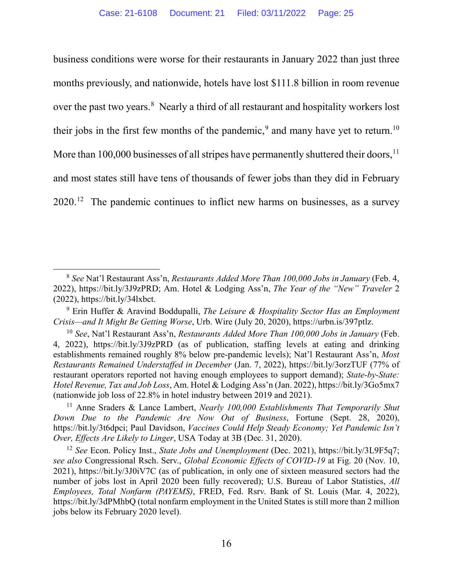business conditions were worse for their restaurants in January 2022 than just three months previously, and nationwide, hotels have lost \$111.8 billion in room revenue over the past two years.<sup>[8](#page-24-0)</sup> Nearly a third of all restaurant and hospitality workers lost their jobs in the first few months of the pandemic,<sup>[9](#page-24-1)</sup> and many have yet to return.<sup>[10](#page-24-2)</sup> More than  $100,000$  businesses of all stripes have permanently shuttered their doors,  $^{11}$  $^{11}$  $^{11}$ and most states still have tens of thousands of fewer jobs than they did in February  $2020$ <sup>[12](#page-24-4)</sup> The pandemic continues to inflict new harms on businesses, as a survey

<span id="page-24-0"></span><sup>8</sup> *See* Nat'l Restaurant Ass'n, *Restaurants Added More Than 100,000 Jobs in January* (Feb. 4, 2022), https://bit.ly/3J9zPRD; Am. Hotel & Lodging Ass'n, *The Year of the "New" Traveler* 2 (2022), https://bit.ly/34lxbct.

<span id="page-24-1"></span><sup>9</sup> Erin Huffer & Aravind Boddupalli, *The Leisure & Hospitality Sector Has an Employment Crisis—and It Might Be Getting Worse*, Urb. Wire (July 20, 2020), https://urbn.is/397ptlz.

<span id="page-24-2"></span><sup>10</sup> *See*, Nat'l Restaurant Ass'n, *Restaurants Added More Than 100,000 Jobs in January* (Feb. 4, 2022), https://bit.ly/3J9zPRD (as of publication, staffing levels at eating and drinking establishments remained roughly 8% below pre-pandemic levels); Nat'l Restaurant Ass'n, *Most Restaurants Remained Understaffed in December* (Jan. 7, 2022), https://bit.ly/3orzTUF (77% of restaurant operators reported not having enough employees to support demand); *State-by-State: Hotel Revenue, Tax and Job Loss*, Am. Hotel & Lodging Ass'n (Jan. 2022), https://bit.ly/3Go5mx7 (nationwide job loss of 22.8% in hotel industry between 2019 and 2021).

<span id="page-24-3"></span><sup>11</sup> Anne Sraders & Lance Lambert, *Nearly 100,000 Establishments That Temporarily Shut Down Due to the Pandemic Are Now Out of Business*, Fortune (Sept. 28, 2020), https://bit.ly/3t6dpci; Paul Davidson, *Vaccines Could Help Steady Economy; Yet Pandemic Isn't Over, Effects Are Likely to Linger*, USA Today at 3B (Dec. 31, 2020).

<span id="page-24-4"></span><sup>12</sup> *See* Econ. Policy Inst., *State Jobs and Unemployment* (Dec. 2021), https://bit.ly/3L9F5q7; *see also* Congressional Rsch. Serv., *Global Economic Effects of COVID-19* at Fig. 20 (Nov. 10, 2021), https://bit.ly/3J0iV7C (as of publication, in only one of sixteen measured sectors had the number of jobs lost in April 2020 been fully recovered); U.S. Bureau of Labor Statistics, *All Employees, Total Nonfarm (PAYEMS)*, FRED, Fed. Rsrv. Bank of St. Louis (Mar. 4, 2022), https://bit.ly/3dPMhbQ (total nonfarm employment in the United States is still more than 2 million jobs below its February 2020 level).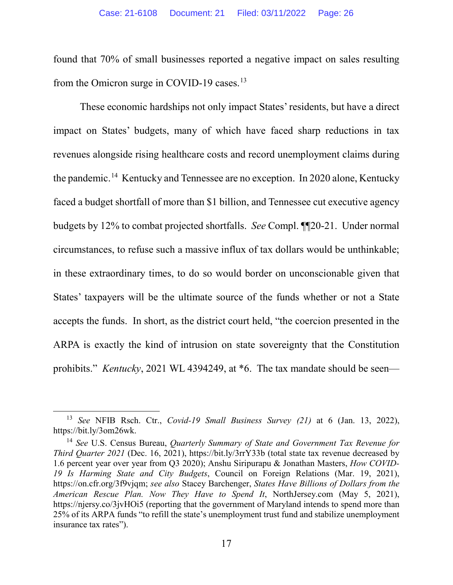found that 70% of small businesses reported a negative impact on sales resulting from the Omicron surge in COVID-19 cases.<sup>13</sup>

These economic hardships not only impact States' residents, but have a direct impact on States' budgets, many of which have faced sharp reductions in tax revenues alongside rising healthcare costs and record unemployment claims during the pandemic. [14](#page-25-1) Kentucky and Tennessee are no exception. In 2020 alone, Kentucky faced a budget shortfall of more than \$1 billion, and Tennessee cut executive agency budgets by 12% to combat projected shortfalls. *See* Compl. ¶¶20-21. Under normal circumstances, to refuse such a massive influx of tax dollars would be unthinkable; in these extraordinary times, to do so would border on unconscionable given that States' taxpayers will be the ultimate source of the funds whether or not a State accepts the funds. In short, as the district court held, "the coercion presented in the ARPA is exactly the kind of intrusion on state sovereignty that the Constitution prohibits." *Kentucky*, 2021 WL 4394249, at \*6. The tax mandate should be seen—

<span id="page-25-0"></span><sup>13</sup> *See* NFIB Rsch. Ctr., *Covid-19 Small Business Survey (21)* at 6 (Jan. 13, 2022), https://bit.ly/3om26wk.

<span id="page-25-1"></span><sup>14</sup> *See* U.S. Census Bureau, *Quarterly Summary of State and Government Tax Revenue for Third Quarter 2021* (Dec. 16, 2021), https://bit.ly/3rrY33b (total state tax revenue decreased by 1.6 percent year over year from Q3 2020); Anshu Siripurapu & Jonathan Masters, *How COVID-19 Is Harming State and City Budgets*, Council on Foreign Relations (Mar. 19, 2021), https://on.cfr.org/3f9vjqm; *see also* Stacey Barchenger, *States Have Billions of Dollars from the American Rescue Plan. Now They Have to Spend It*, NorthJersey.com (May 5, 2021), https://njersy.co/3jvHOi5 (reporting that the government of Maryland intends to spend more than 25% of its ARPA funds "to refill the state's unemployment trust fund and stabilize unemployment insurance tax rates").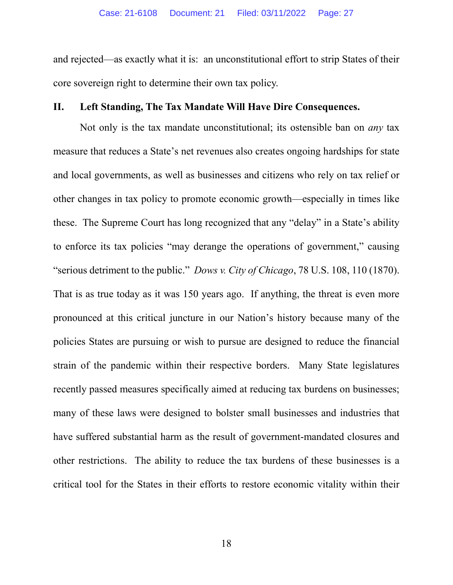and rejected—as exactly what it is: an unconstitutional effort to strip States of their core sovereign right to determine their own tax policy.

## <span id="page-26-0"></span>**II. Left Standing, The Tax Mandate Will Have Dire Consequences.**

Not only is the tax mandate unconstitutional; its ostensible ban on *any* tax measure that reduces a State's net revenues also creates ongoing hardships for state and local governments, as well as businesses and citizens who rely on tax relief or other changes in tax policy to promote economic growth—especially in times like these. The Supreme Court has long recognized that any "delay" in a State's ability to enforce its tax policies "may derange the operations of government," causing "serious detriment to the public." *Dows v. City of Chicago*, 78 U.S. 108, 110 (1870). That is as true today as it was 150 years ago. If anything, the threat is even more pronounced at this critical juncture in our Nation's history because many of the policies States are pursuing or wish to pursue are designed to reduce the financial strain of the pandemic within their respective borders. Many State legislatures recently passed measures specifically aimed at reducing tax burdens on businesses; many of these laws were designed to bolster small businesses and industries that have suffered substantial harm as the result of government-mandated closures and other restrictions. The ability to reduce the tax burdens of these businesses is a critical tool for the States in their efforts to restore economic vitality within their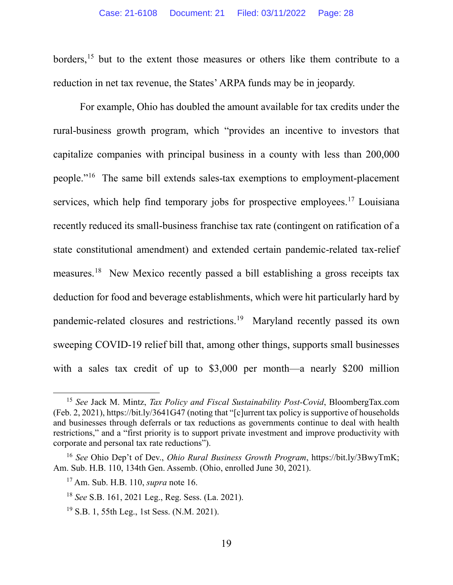borders,<sup>[15](#page-27-0)</sup> but to the extent those measures or others like them contribute to a reduction in net tax revenue, the States' ARPA funds may be in jeopardy.

For example, Ohio has doubled the amount available for tax credits under the rural-business growth program, which "provides an incentive to investors that capitalize companies with principal business in a county with less than 200,000 people."[16](#page-27-1) The same bill extends sales-tax exemptions to employment-placement services, which help find temporary jobs for prospective employees.<sup>[17](#page-27-2)</sup> Louisiana recently reduced its small-business franchise tax rate (contingent on ratification of a state constitutional amendment) and extended certain pandemic-related tax-relief measures.[18](#page-27-3) New Mexico recently passed a bill establishing a gross receipts tax deduction for food and beverage establishments, which were hit particularly hard by pandemic-related closures and restrictions.[19](#page-27-4) Maryland recently passed its own sweeping COVID-19 relief bill that, among other things, supports small businesses with a sales tax credit of up to \$3,000 per month—a nearly \$200 million

<span id="page-27-0"></span><sup>15</sup> *See* Jack M. Mintz, *Tax Policy and Fiscal Sustainability Post-Covid*, BloombergTax.com (Feb. 2, 2021), https://bit.ly/3641G47 (noting that "[c]urrent tax policy is supportive of households and businesses through deferrals or tax reductions as governments continue to deal with health restrictions," and a "first priority is to support private investment and improve productivity with corporate and personal tax rate reductions").

<span id="page-27-3"></span><span id="page-27-2"></span><span id="page-27-1"></span><sup>16</sup> *See* Ohio Dep't of Dev., *Ohio Rural Business Growth Program*, [https://bit.ly/3BwyTmK;](https://bit.ly/3BwyTmK) Am. Sub. H.B. 110, 134th Gen. Assemb. (Ohio, enrolled June 30, 2021).

<sup>17</sup> Am. Sub. H.B. 110, *supra* note 16.

<sup>18</sup> *See* S.B. 161, 2021 Leg., Reg. Sess. (La. 2021).

<span id="page-27-4"></span><sup>19</sup> S.B. 1, 55th Leg., 1st Sess. (N.M. 2021).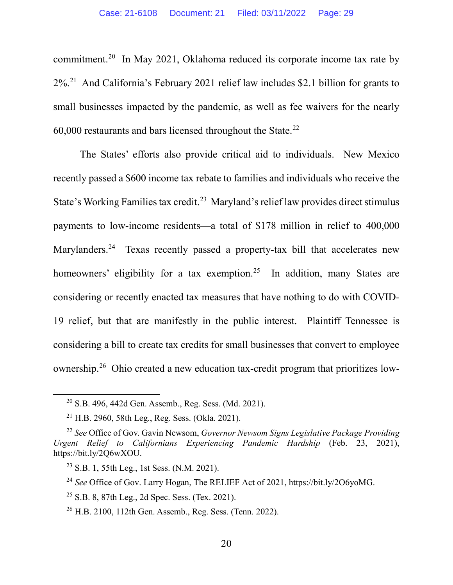commitment.[20](#page-28-0) In May 2021, Oklahoma reduced its corporate income tax rate by 2%.[21](#page-28-1) And California's February 2021 relief law includes \$2.1 billion for grants to small businesses impacted by the pandemic, as well as fee waivers for the nearly  $60,000$  restaurants and bars licensed throughout the State.<sup>[22](#page-28-2)</sup>

The States' efforts also provide critical aid to individuals. New Mexico recently passed a \$600 income tax rebate to families and individuals who receive the State's Working Families tax credit.<sup>23</sup> Maryland's relief law provides direct stimulus payments to low-income residents—a total of \$178 million in relief to 400,000 Marylanders.<sup>24</sup> Texas recently passed a property-tax bill that accelerates new homeowners' eligibility for a tax exemption.<sup>25</sup> In addition, many States are considering or recently enacted tax measures that have nothing to do with COVID-19 relief, but that are manifestly in the public interest. Plaintiff Tennessee is considering a bill to create tax credits for small businesses that convert to employee ownership.[26](#page-28-6) Ohio created a new education tax-credit program that prioritizes low-

 $20$  S.B. 496, 442d Gen. Assemb., Reg. Sess. (Md. 2021).

 $21$  H.B. 2960, 58th Leg., Reg. Sess. (Okla. 2021).

<span id="page-28-3"></span><span id="page-28-2"></span><span id="page-28-1"></span><span id="page-28-0"></span><sup>22</sup> *See* Office of Gov. Gavin Newsom, *Governor Newsom Signs Legislative Package Providing Urgent Relief to Californians Experiencing Pandemic Hardship* (Feb. 23, 2021), [https://bit.ly/2Q6wXOU.](https://bit.ly/2Q6wXOU)

 $^{23}$  S.B. 1, 55th Leg., 1st Sess. (N.M. 2021).

<span id="page-28-4"></span><sup>24</sup> *See* Office of Gov. Larry Hogan, The RELIEF Act of 2021, https://bit.ly/2O6yoMG.

<span id="page-28-5"></span> $25$  S.B. 8, 87th Leg., 2d Spec. Sess. (Tex. 2021).

<span id="page-28-6"></span><sup>26</sup> H.B. 2100, 112th Gen. Assemb., Reg. Sess. (Tenn. 2022).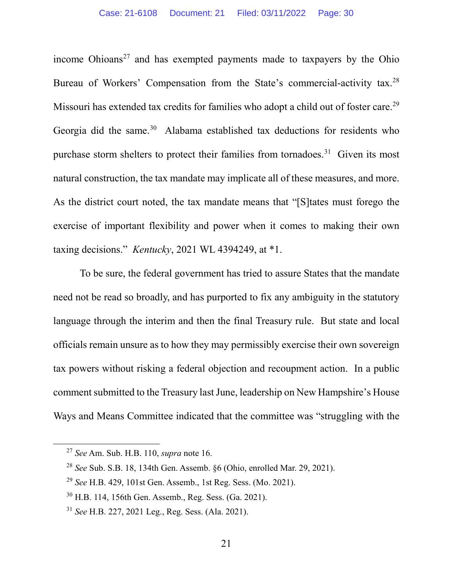income Ohioans<sup>[27](#page-29-0)</sup> and has exempted payments made to taxpayers by the Ohio Bureau of Workers' Compensation from the State's commercial-activity tax.<sup>[28](#page-29-1)</sup> Missouri has extended tax credits for families who adopt a child out of foster care.<sup>[29](#page-29-2)</sup> Georgia did the same.<sup>30</sup> Alabama established tax deductions for residents who purchase storm shelters to protect their families from tornadoes.[31](#page-29-4) Given its most natural construction, the tax mandate may implicate all of these measures, and more. As the district court noted, the tax mandate means that "[S]tates must forego the exercise of important flexibility and power when it comes to making their own taxing decisions." *Kentucky*, 2021 WL 4394249, at \*1.

To be sure, the federal government has tried to assure States that the mandate need not be read so broadly, and has purported to fix any ambiguity in the statutory language through the interim and then the final Treasury rule. But state and local officials remain unsure as to how they may permissibly exercise their own sovereign tax powers without risking a federal objection and recoupment action. In a public comment submitted to the Treasury last June, leadership on New Hampshire's House Ways and Means Committee indicated that the committee was "struggling with the

<span id="page-29-0"></span><sup>27</sup> *See* Am. Sub. H.B. 110, *supra* note 16.

<span id="page-29-1"></span><sup>28</sup> *See* Sub. S.B. 18, 134th Gen. Assemb. §6 (Ohio, enrolled Mar. 29, 2021).

<span id="page-29-2"></span><sup>29</sup> *See* H.B. 429, 101st Gen. Assemb., 1st Reg. Sess. (Mo. 2021).

<span id="page-29-3"></span><sup>30</sup> H.B. 114, 156th Gen. Assemb., Reg. Sess. (Ga. 2021).

<span id="page-29-4"></span><sup>31</sup> *See* H.B. 227, 2021 Leg., Reg. Sess. (Ala. 2021).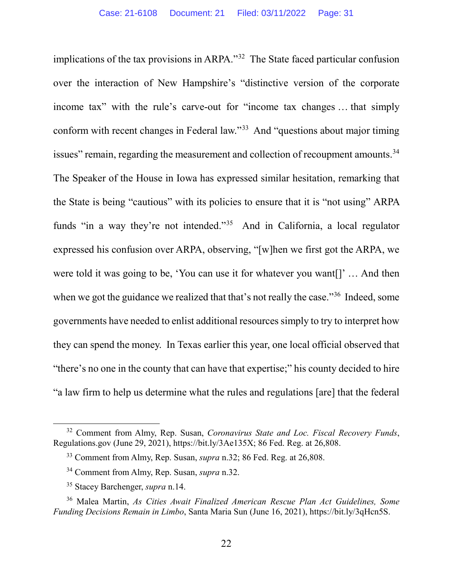implications of the tax provisions in ARPA."[32](#page-30-0) The State faced particular confusion over the interaction of New Hampshire's "distinctive version of the corporate income tax" with the rule's carve-out for "income tax changes … that simply conform with recent changes in Federal law."[33](#page-30-1) And "questions about major timing issues" remain, regarding the measurement and collection of recoupment amounts.<sup>[34](#page-30-2)</sup> The Speaker of the House in Iowa has expressed similar hesitation, remarking that the State is being "cautious" with its policies to ensure that it is "not using" ARPA funds "in a way they're not intended."[35](#page-30-3) And in California, a local regulator expressed his confusion over ARPA, observing, "[w]hen we first got the ARPA, we were told it was going to be, 'You can use it for whatever you want[]' … And then when we got the guidance we realized that that's not really the case."<sup>36</sup> Indeed, some governments have needed to enlist additional resources simply to try to interpret how they can spend the money. In Texas earlier this year, one local official observed that "there's no one in the county that can have that expertise;" his county decided to hire "a law firm to help us determine what the rules and regulations [are] that the federal

<span id="page-30-1"></span><span id="page-30-0"></span><sup>32</sup> Comment from Almy, Rep. Susan, *Coronavirus State and Loc. Fiscal Recovery Funds*, Regulations.gov (June 29, 2021), https://bit.ly/3Ae135X; 86 Fed. Reg. at 26,808.

<sup>33</sup> Comment from Almy, Rep. Susan, *supra* n.32; 86 Fed. Reg. at 26,808.

<sup>34</sup> Comment from Almy, Rep. Susan, *supra* n.32.

<sup>35</sup> Stacey Barchenger, *supra* n.14.

<span id="page-30-4"></span><span id="page-30-3"></span><span id="page-30-2"></span><sup>36</sup> Malea Martin, *As Cities Await Finalized American Rescue Plan Act Guidelines, Some Funding Decisions Remain in Limbo*, Santa Maria Sun (June 16, 2021), https://bit.ly/3qHcn5S.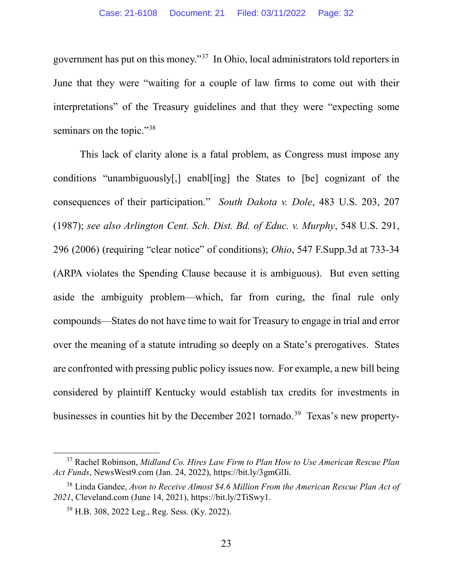government has put on this money."[37](#page-31-0) In Ohio, local administrators told reporters in June that they were "waiting for a couple of law firms to come out with their interpretations" of the Treasury guidelines and that they were "expecting some seminars on the topic."<sup>[38](#page-31-1)</sup>

This lack of clarity alone is a fatal problem, as Congress must impose any conditions "unambiguously[,] enabl[ing] the States to [be] cognizant of the consequences of their participation." *South Dakota v. Dole*, 483 U.S. 203, 207 (1987); *see also Arlington Cent. Sch. Dist. Bd. of Educ. v. Murphy*, 548 U.S. 291, 296 (2006) (requiring "clear notice" of conditions); *Ohio*, 547 F.Supp.3d at 733-34 (ARPA violates the Spending Clause because it is ambiguous). But even setting aside the ambiguity problem—which, far from curing, the final rule only compounds—States do not have time to wait for Treasury to engage in trial and error over the meaning of a statute intruding so deeply on a State's prerogatives. States are confronted with pressing public policy issues now. For example, a new bill being considered by plaintiff Kentucky would establish tax credits for investments in businesses in counties hit by the December 2021 tornado.<sup>39</sup> Texas's new property-

<span id="page-31-0"></span><sup>37</sup> Rachel Robinson, *Midland Co. Hires Law Firm to Plan How to Use American Rescue Plan Act Funds*, NewsWest9.com (Jan. 24, 2022), https://bit.ly/3gmGlIi.

<span id="page-31-2"></span><span id="page-31-1"></span><sup>38</sup> Linda Gandee, *Avon to Receive Almost \$4.6 Million From the American Rescue Plan Act of 2021*, Cleveland.com (June 14, 2021), https://bit.ly/2TiSwy1.

<sup>39</sup> H.B. 308, 2022 Leg., Reg. Sess. (Ky. 2022).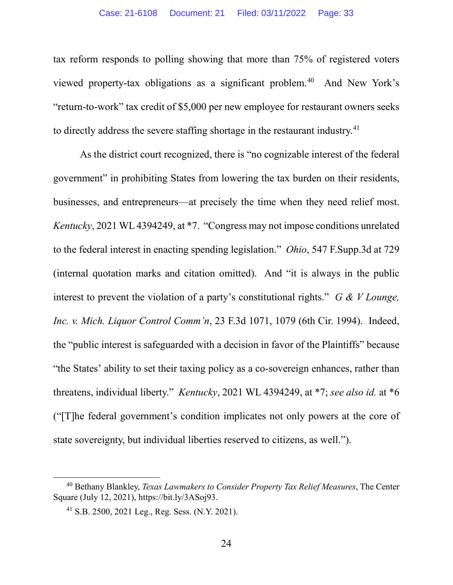tax reform responds to polling showing that more than 75% of registered voters viewed property-tax obligations as a significant problem.<sup>40</sup> And New York's "return-to-work" tax credit of \$5,000 per new employee for restaurant owners seeks to directly address the severe staffing shortage in the restaurant industry.<sup>41</sup>

As the district court recognized, there is "no cognizable interest of the federal government" in prohibiting States from lowering the tax burden on their residents, businesses, and entrepreneurs—at precisely the time when they need relief most. *Kentucky*, 2021 WL 4394249, at \*7. "Congress may not impose conditions unrelated to the federal interest in enacting spending legislation." *Ohio*, 547 F.Supp.3d at 729 (internal quotation marks and citation omitted). And "it is always in the public interest to prevent the violation of a party's constitutional rights." *G & V Lounge, Inc. v. Mich. Liquor Control Comm'n*, 23 F.3d 1071, 1079 (6th Cir. 1994). Indeed, the "public interest is safeguarded with a decision in favor of the Plaintiffs" because "the States' ability to set their taxing policy as a co-sovereign enhances, rather than threatens, individual liberty." *Kentucky*, 2021 WL 4394249, at \*7; *see also id.* at \*6 ("[T]he federal government's condition implicates not only powers at the core of state sovereignty, but individual liberties reserved to citizens, as well.").

<span id="page-32-1"></span><span id="page-32-0"></span><sup>40</sup> Bethany Blankley, *Texas Lawmakers to Consider Property Tax Relief Measures*, The Center Square (July 12, 2021), https://bit.ly/3ASoj93.

 $41$  S.B. 2500, 2021 Leg., Reg. Sess. (N.Y. 2021).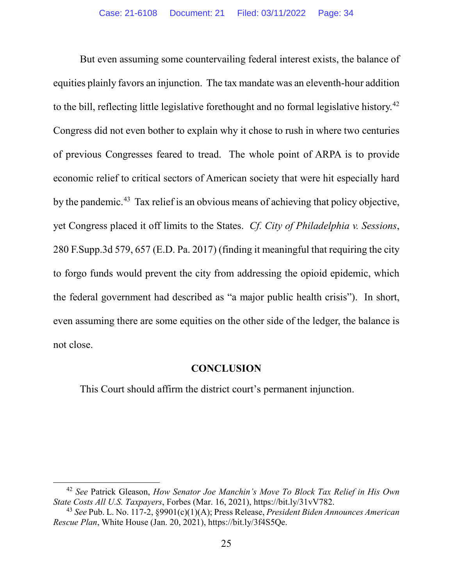But even assuming some countervailing federal interest exists, the balance of equities plainly favors an injunction. The tax mandate was an eleventh-hour addition to the bill, reflecting little legislative forethought and no formal legislative history.<sup>[42](#page-33-1)</sup> Congress did not even bother to explain why it chose to rush in where two centuries of previous Congresses feared to tread. The whole point of ARPA is to provide economic relief to critical sectors of American society that were hit especially hard by the pandemic.<sup>[43](#page-33-2)</sup> Tax relief is an obvious means of achieving that policy objective, yet Congress placed it off limits to the States. *Cf. City of Philadelphia v. Sessions*, 280 F.Supp.3d 579, 657 (E.D. Pa. 2017) (finding it meaningful that requiring the city to forgo funds would prevent the city from addressing the opioid epidemic, which the federal government had described as "a major public health crisis"). In short, even assuming there are some equities on the other side of the ledger, the balance is not close.

#### **CONCLUSION**

<span id="page-33-0"></span>This Court should affirm the district court's permanent injunction.

<span id="page-33-1"></span><sup>42</sup> *See* Patrick Gleason, *How Senator Joe Manchin's Move To Block Tax Relief in His Own State Costs All U.S. Taxpayers*, Forbes (Mar. 16, 2021), https://bit.ly/31vV782.

<span id="page-33-2"></span><sup>43</sup> *See* Pub. L. No. 117-2, §9901(c)(1)(A); Press Release, *President Biden Announces American Rescue Plan*, White House (Jan. 20, 2021), https://bit.ly/3f4S5Qe.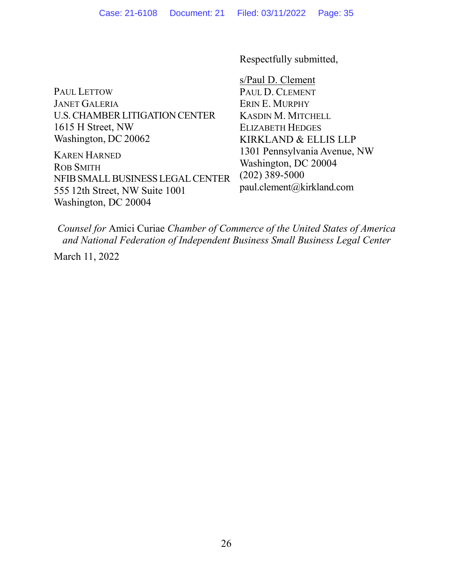Respectfully submitted,

PAUL LETTOW JANET GALERIA U.S.CHAMBERLITIGATION CENTER 1615 H Street, NW Washington, DC 20062

KAREN HARNED ROB SMITH NFIB SMALL BUSINESS LEGAL CENTER 555 12th Street, NW Suite 1001 Washington, DC 20004

s/Paul D. Clement PAUL D. CLEMENT ERIN E. MURPHY KASDIN M. MITCHELL ELIZABETH HEDGES KIRKLAND & ELLIS LLP 1301 Pennsylvania Avenue, NW Washington, DC 20004 (202) 389-5000 paul.clement@kirkland.com

*Counsel for* Amici Curiae *Chamber of Commerce of the United States of America and National Federation of Independent Business Small Business Legal Center*

March 11, 2022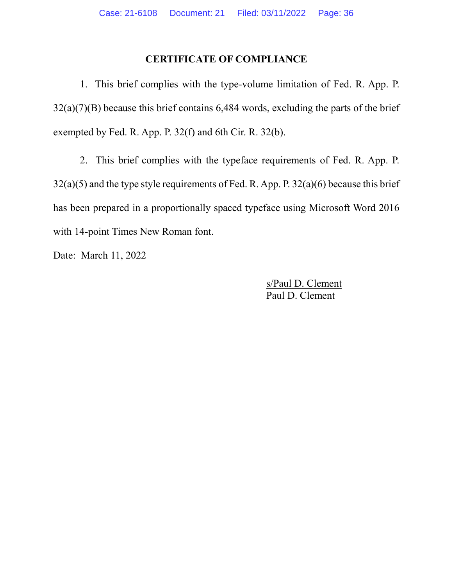## **CERTIFICATE OF COMPLIANCE**

<span id="page-35-0"></span>1. This brief complies with the type-volume limitation of Fed. R. App. P.  $32(a)(7)(B)$  because this brief contains 6,484 words, excluding the parts of the brief exempted by Fed. R. App. P. 32(f) and 6th Cir. R. 32(b).

2. This brief complies with the typeface requirements of Fed. R. App. P.  $32(a)(5)$  and the type style requirements of Fed. R. App. P.  $32(a)(6)$  because this brief has been prepared in a proportionally spaced typeface using Microsoft Word 2016 with 14-point Times New Roman font.

Date: March 11, 2022

s/Paul D. Clement Paul D. Clement